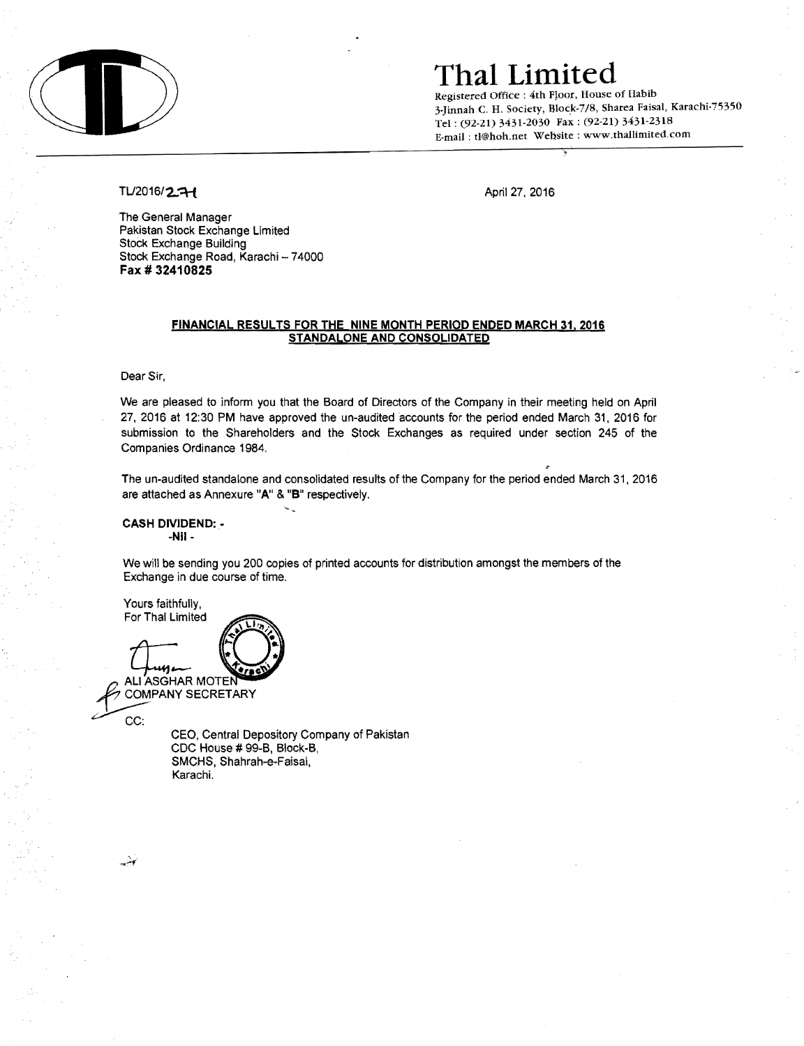

### **Thal Limited**

Registered Office: 4th Floor, House of Habib 3-Jinnah C. H. Society, Block-7/8, Sharea Faisal, Karachi-75350 Tel: (92-21) 3431-2030 Fax: (92-21) 3431-2318 E-mail: tJ@hoh.net Website: www.thallimited.com

#### TL/2016/2.7-1 April 27, 2016

The General Manager Pakistan Stock Exchange Limited Stock Exchange Building Stock Exchange Road, Karachi - 74000 **Fax # 32410825** 

#### **FINANCIAL RESULTS** FOR THE **NINE MONTH PERIOD ENDED MARCH 31, 2016 STANDALONE AND CONSOLIDATED**

Dear Sir,

We are pleased to inform you that the Board of Directors of the Company in their meeting held on April 27,2016 at 12:30 **PM** have approved the un-audited accounts for the period ended March 31, 2016 for submission to the Shareholders and the Stock Exchanges as required under section 245 of the Companies Ordinance 1984.

The un-audited standalone and consolidated results of the Company for the period ended March 31, 2016 are attached as Annexure "A" & "B" respectively.

**CASH DIVIDEND: -NiI-**

We will be sending you 200 copies of printed accounts for distribution amongst the members of the Exchange in due course of time.

Yours faithfully. For Thal Limited

ALI ASGHAR MOTEN **COMPANY SECRETARY** 

CEO. Central Depository Company of Pakistan CDC House # 99-8, Block-B, SMCHS, Shahrah-e-Faisal, Karachi.

پٽي

CC: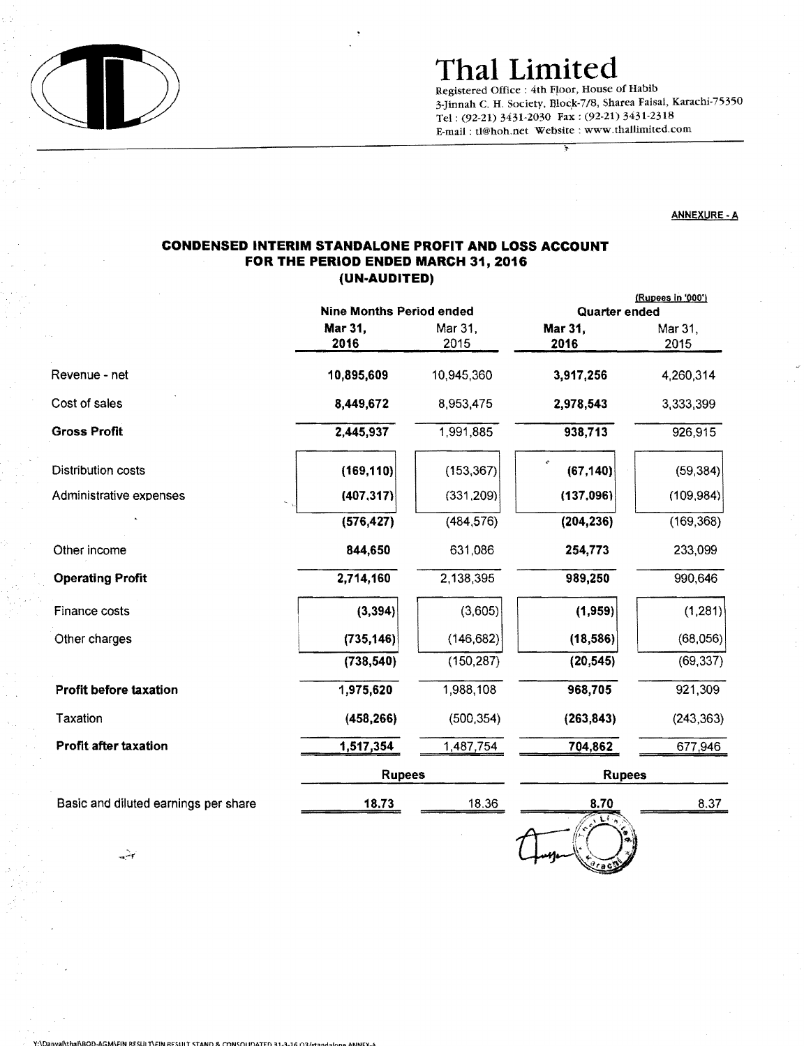

## Thai Limited

Registered Office: 4th Floor, House of Habib 3-Jinnah C. H. Society, Block-7/8, Sharea Faisal, Karachi-75350 Tel: (92-21) 3431-2030 Fax: (92-21) 3431-2318 E-mail: tl@hoh.net Website: www.thaUimited.com

#### ANNEXURE· A

### CONDENSED INTERIM STANDALONE PROFIT AND LOSS ACCOUNT FOR THE PERIOD ENDED MARCH 31, 2016 (UN-AUDITED)

|                                      | Nine Months Period ended |                 | <u>(Rupees in '000')</u><br>Quarter ended |                 |
|--------------------------------------|--------------------------|-----------------|-------------------------------------------|-----------------|
|                                      | Mar 31,<br>2016          | Mar 31,<br>2015 | Mar 31,<br>2016                           | Mar 31,<br>2015 |
| Revenue - net                        | 10,895,609               | 10,945,360      | 3,917,256                                 | 4,260,314       |
| Cost of sales                        | 8,449,672                | 8,953,475       | 2,978,543                                 | 3,333,399       |
| <b>Gross Profit</b>                  | 2,445,937                | 1,991,885       | 938,713                                   | 926,915         |
| Distribution costs                   | (169, 110)               | (153, 367)      | (67, 140)                                 | (59, 384)       |
| Administrative expenses              | (407, 317)               | (331, 209)      | (137,096)                                 | (109, 984)      |
|                                      | (576, 427)               | (484, 576)      | (204, 236)                                | (169, 368)      |
| Other income                         | 844,650                  | 631,086         | 254,773                                   | 233,099         |
| <b>Operating Profit</b>              | 2,714,160                | 2,138,395       | 989,250                                   | 990,646         |
| Finance costs                        | (3, 394)                 | (3,605)         | (1,959)                                   | (1, 281)        |
| Other charges                        | (735, 146)               | (146, 682)      | (18, 586)                                 | (68,056)        |
|                                      | (738, 540)               | (150, 287)      | (20, 545)                                 | (69, 337)       |
| Profit before taxation               | 1,975,620                | 1,988,108       | 968,705                                   | 921,309         |
| Taxation                             | (458, 266)               | (500, 354)      | (263, 843)                                | (243, 363)      |
| <b>Profit after taxation</b>         | 1,517,354                | 1,487,754       | 704,862                                   | 677,946         |
|                                      | <b>Rupees</b>            |                 | <b>Rupees</b>                             |                 |
| Basic and diluted earnings per share | 18.73                    | 18.36           | 8.70                                      | 8.37            |
|                                      |                          |                 | $\mathbb{Z}$ if                           |                 |

 $0.8$  CONSOLIDATED 31-3-16 02/45

 $\lambda$ ROD-AGM $\lambda$ EIN RFSUIT $\lambda$ EIN RESUIT STA

ىپت